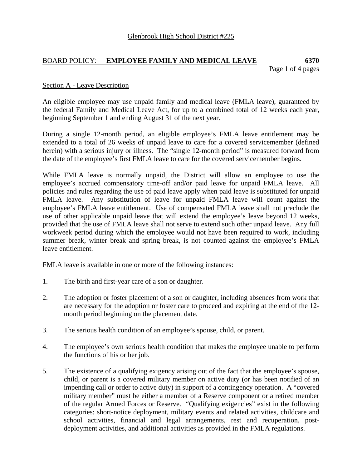# BOARD POLICY: **EMPLOYEE FAMILY AND MEDICAL LEAVE 6370**

Page 1 of 4 pages

## Section A - Leave Description

An eligible employee may use unpaid family and medical leave (FMLA leave), guaranteed by the federal Family and Medical Leave Act, for up to a combined total of 12 weeks each year, beginning September 1 and ending August 31 of the next year.

During a single 12-month period, an eligible employee's FMLA leave entitlement may be extended to a total of 26 weeks of unpaid leave to care for a covered servicemember (defined herein) with a serious injury or illness. The "single 12-month period" is measured forward from the date of the employee's first FMLA leave to care for the covered servicemember begins.

While FMLA leave is normally unpaid, the District will allow an employee to use the employee's accrued compensatory time-off and/or paid leave for unpaid FMLA leave. All policies and rules regarding the use of paid leave apply when paid leave is substituted for unpaid FMLA leave. Any substitution of leave for unpaid FMLA leave will count against the employee's FMLA leave entitlement. Use of compensated FMLA leave shall not preclude the use of other applicable unpaid leave that will extend the employee's leave beyond 12 weeks, provided that the use of FMLA leave shall not serve to extend such other unpaid leave. Any full workweek period during which the employee would not have been required to work, including summer break, winter break and spring break, is not counted against the employee's FMLA leave entitlement.

FMLA leave is available in one or more of the following instances:

- 1. The birth and first-year care of a son or daughter.
- 2. The adoption or foster placement of a son or daughter, including absences from work that are necessary for the adoption or foster care to proceed and expiring at the end of the 12 month period beginning on the placement date.
- 3. The serious health condition of an employee's spouse, child, or parent.
- 4. The employee's own serious health condition that makes the employee unable to perform the functions of his or her job.
- 5. The existence of a qualifying exigency arising out of the fact that the employee's spouse, child, or parent is a covered military member on active duty (or has been notified of an impending call or order to active duty) in support of a contingency operation. A "covered military member" must be either a member of a Reserve component or a retired member of the regular Armed Forces or Reserve. "Qualifying exigencies" exist in the following categories: short-notice deployment, military events and related activities, childcare and school activities, financial and legal arrangements, rest and recuperation, postdeployment activities, and additional activities as provided in the FMLA regulations.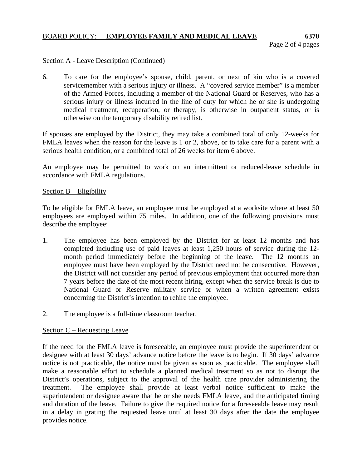## BOARD POLICY: **EMPLOYEE FAMILY AND MEDICAL LEAVE 6370**

#### Section A - Leave Description (Continued)

6. To care for the employee's spouse, child, parent, or next of kin who is a covered servicemember with a serious injury or illness. A "covered service member" is a member of the Armed Forces, including a member of the National Guard or Reserves, who has a serious injury or illness incurred in the line of duty for which he or she is undergoing medical treatment, recuperation, or therapy, is otherwise in outpatient status, or is otherwise on the temporary disability retired list.

If spouses are employed by the District, they may take a combined total of only 12-weeks for FMLA leaves when the reason for the leave is 1 or 2, above, or to take care for a parent with a serious health condition, or a combined total of 26 weeks for item 6 above.

An employee may be permitted to work on an intermittent or reduced-leave schedule in accordance with FMLA regulations.

#### Section B – Eligibility

To be eligible for FMLA leave, an employee must be employed at a worksite where at least 50 employees are employed within 75 miles. In addition, one of the following provisions must describe the employee:

- 1. The employee has been employed by the District for at least 12 months and has completed including use of paid leaves at least 1,250 hours of service during the 12 month period immediately before the beginning of the leave. The 12 months an employee must have been employed by the District need not be consecutive. However, the District will not consider any period of previous employment that occurred more than 7 years before the date of the most recent hiring, except when the service break is due to National Guard or Reserve military service or when a written agreement exists concerning the District's intention to rehire the employee.
- 2. The employee is a full-time classroom teacher.

## Section C – Requesting Leave

If the need for the FMLA leave is foreseeable, an employee must provide the superintendent or designee with at least 30 days' advance notice before the leave is to begin. If 30 days' advance notice is not practicable, the notice must be given as soon as practicable. The employee shall make a reasonable effort to schedule a planned medical treatment so as not to disrupt the District's operations, subject to the approval of the health care provider administering the treatment. The employee shall provide at least verbal notice sufficient to make the superintendent or designee aware that he or she needs FMLA leave, and the anticipated timing and duration of the leave. Failure to give the required notice for a foreseeable leave may result in a delay in grating the requested leave until at least 30 days after the date the employee provides notice.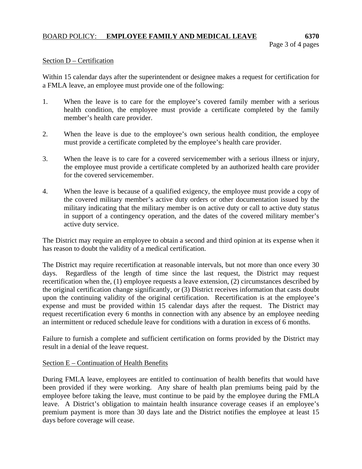## Section D – Certification

Within 15 calendar days after the superintendent or designee makes a request for certification for a FMLA leave, an employee must provide one of the following:

- 1. When the leave is to care for the employee's covered family member with a serious health condition, the employee must provide a certificate completed by the family member's health care provider.
- 2. When the leave is due to the employee's own serious health condition, the employee must provide a certificate completed by the employee's health care provider.
- 3. When the leave is to care for a covered servicemember with a serious illness or injury, the employee must provide a certificate completed by an authorized health care provider for the covered servicemember.
- 4. When the leave is because of a qualified exigency, the employee must provide a copy of the covered military member's active duty orders or other documentation issued by the military indicating that the military member is on active duty or call to active duty status in support of a contingency operation, and the dates of the covered military member's active duty service.

The District may require an employee to obtain a second and third opinion at its expense when it has reason to doubt the validity of a medical certification.

The District may require recertification at reasonable intervals, but not more than once every 30 days. Regardless of the length of time since the last request, the District may request recertification when the, (1) employee requests a leave extension, (2) circumstances described by the original certification change significantly, or (3) District receives information that casts doubt upon the continuing validity of the original certification. Recertification is at the employee's expense and must be provided within 15 calendar days after the request. The District may request recertification every 6 months in connection with any absence by an employee needing an intermittent or reduced schedule leave for conditions with a duration in excess of 6 months.

Failure to furnish a complete and sufficient certification on forms provided by the District may result in a denial of the leave request.

## Section E – Continuation of Health Benefits

During FMLA leave, employees are entitled to continuation of health benefits that would have been provided if they were working. Any share of health plan premiums being paid by the employee before taking the leave, must continue to be paid by the employee during the FMLA leave. A District's obligation to maintain health insurance coverage ceases if an employee's premium payment is more than 30 days late and the District notifies the employee at least 15 days before coverage will cease.